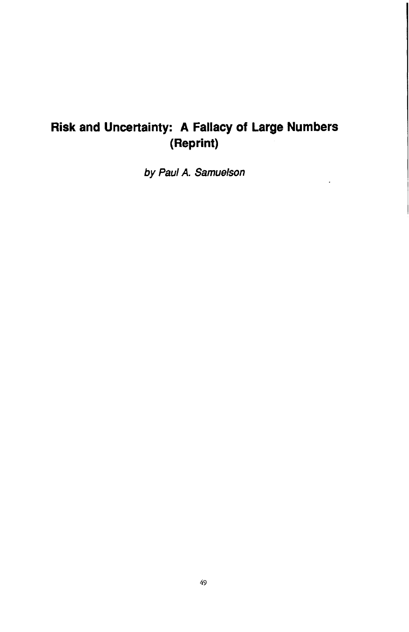## Risk and Uncertainty: A Fallacy of Large Numbers (Reprint)

by Paul A. Samuelson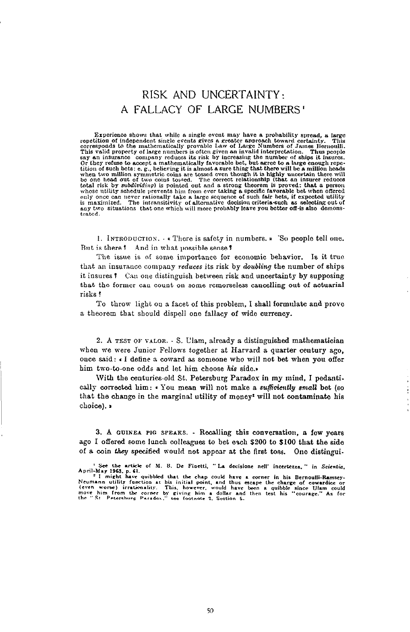## RISK AND UNCERTAINTY: A FALLACY OF LARGE NUMBERS'

Experience shows that while a single event may have a probability spread, a large repetition of independent single events gives a greater approach toward certainty. This relation of the nuathematically provable law of Large Numbers of James Bernoulli. This valid property of large numbers is often given tition of Such bets: e. 6.. believing it is almost a sure thing that them will be B million heads when two million symmetric coins are tossed oven though it is highly uncertain there will be one head out of two coins tossed. The correct relationship (that an insurer reduces total risk by subdividing) is pointed out and a strong theorem is proved: that a person whose utility schedule prevents him from ever taking a specific favorable bet when offered only once can never rationally take a large sequence of such fair bets, if expected utility<br>is maximized. The intransitivity of alternative decision criteria-such as selecting out of<br>any two situations that one which will trated.

1. INTRODUCTION.  $\cdot$  « There is safety in numbers. » 'So people tell one. But is there ! And in what possible sense ?

The issue is of some importance for economic behavior. Is it true that an insurance company reduces its risk by doubling the number of ships it insures! Can one distinguish between risk and uncertainty by supposing that the former can count ou some remorseless caucelling out of actuarial risks !

To throw light on a facet of this problem, I shall formulate and prove a theorem that should dispel1 one fallacy of wide currency.

2. A TEST OF VALOR.  $-S$ . Ulam, already a distinguished mathematician when we were Junior Fellows together at Harvard a quarter century ago. once said: «I define a coward as someone who will not bet when you offer him two-to-one odds and let him choose his side..

With the centuries-old St. Petersburg Paradox in my mind, I pedantically corrected him:  $\cdot$  You mean will not make a sufficiently small bet (so that the change in the marginal utility of money\* will not contaminate his choice).

3. A GUINEA PIG SPEAKS. - Recalling this conversation, a few years ago I offered some lunch colleagues to bet each \$200 to \$100 that the side of a coin they specified would not appear at the first toss. One distingui-

See the article of M. B. De Finetti, "La decisione nell' incertezza, " in Scientia, April-May 1963, p. 61.<br>April-May 1963, p. 61.<br>I might have quibbled that the chap could have a corner in his Bernoulli-Ramsey.<br>Neumann utility function at bis initial point, and thus escape the charge of cowardice or The main matrice quibbled that the chap could have a corner in his Bernoulli-Ramsey<br>(even worse) irrationality. This, however, would have exape the charge of cowardice or<br>(even worse) irrationality. This, however, would ha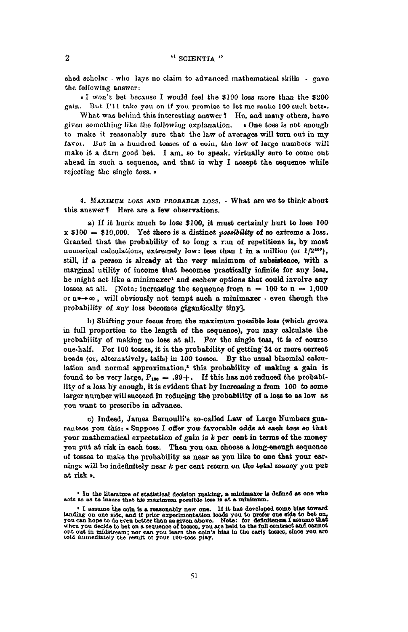shed scholar - who lays no claim to advanced mathematical skills - gave the following answer:

Y I won't bet because 1 would foe1 the \$100 loss more than the \$200 gain. But I'll take you on if you promise to let me make 100 such bets».

What was behind this interesting answer? He, and many others, have given something like the following explanation.  $\bullet$  One toss is not enough to make it reasonably sure that the law of averages will turn out in my favor. But in a hundred tosses of a coin, the law of large numbers will make it a darn good bet. I am, so to speak, virtually sure to come out ahead in such a sequence, and that is why I accept the sequence while rejecting the single toss. »

4. MAXIMUM LOSS AND PROBABLE LOSS, - What are we to think about this answer? Here are a few observations.

a) If it hurts much to lose \$100, it must certainly hurt to lose 100  $x $100 = $10,000$ . Yet there is a distinct possibility of so extreme a loss. Granted that the probability of 80 long a r:m of repetitions is, by moat numerical calculations, extremely low: less than 1 in a million (or  $1/2^{100}$ ), still, if a person is already at the very minimum of subsistence, with a marginal utility of income that beoomea praotioaily infinite for any Iose. he might act like a minimsxer' and eschew options thst oould invoive any losses at all. [Note: increasing the sequence from  $n = 100$  to  $n = 1,000$ or  $n \rightarrow \infty$ , will obviously not tempt such a minimaxer - even though the probability of any loss beoomea gigantically tiny].

b) Shifting your focus from the maximum possible loss (which grows in full proportion to the length of the sequenoe), you may ealoulate the probability of making no loss at all. For the single toss, it is of course one-half. For 100 tosses, it ie the probability of getting'34 or more correot heads (or, alternatively, tails) in 100 tosses. By the usual binomial calculation and normal approximation,<sup>2</sup> this probability of making a gain is found to be very large,  $P_{100} = .99 +$ . If this has not reduced the probability of a loss by enough, it is evident that by increasing  $n$  from  $100$  to some larger number will eucoeed in reducing the probability of a lose to aa low as you want to prescribe in advance.

o) Indeed, James Bernoulli's ao-oalled Law of Large Numbers yarantees you this: « Suppose I offer you favorable odds at each toss so that your mathematical expectation of gain is  $k$  per cent in terms of the money you put at risk in eaoh toae, Then you oan choose a long-enough sequenoe of tosses to make the probability aa near as you like to one that your earnings will be indefinitely near  $k$  per cent return on the total money you put at risk ».

 $^1$  In the literature of statistical decision making, a minimater is defined as one who acts so as to insure that his maximum possible loss is at a minimum.

<sup>&</sup>quot;I assume the coin is a reasonably new one. If it has developed some bias toward<br>landing on one side, and if prior experimentation leads you to prefer one side to bet on,<br>you can hope to de even better than as given above.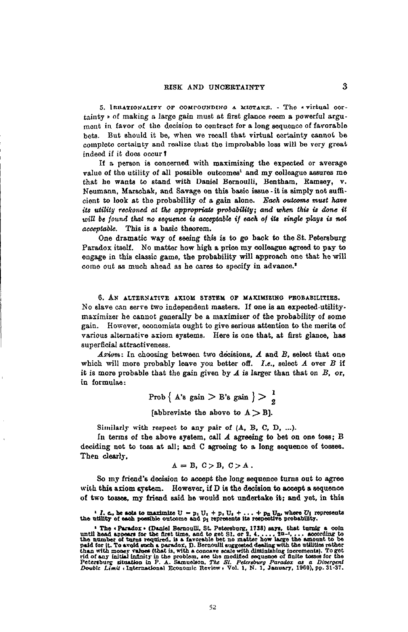5. IRRATIONALITY OF COMPOUNDING A MISTAKE. - The « virtual certainty » of making a large gain must at first glance eeem a powerful argumont in favor of the decision to contract for a long sequence of favorable bots. But should it be, when we recall that virtual certainty cannot be complete certainty and realize that the improbable loss will be very great indeed if it does occur?

If a person is concerned with maximizing the expected or average value of the utility of all possible outcomes' and my colleague assures me that he wants to stand with Daniel Bernoulli, Bentham, Ramsey, v. Neumann, Marschak, and Savage on this basic issue - it is simply not sufficient to look at the probability of a gain alone. Each outcome must have its utility reckoned at the appropriate probability; and when this is done it will be found that no sequence is acceptable if each of its single plays is not acceptable. This is a basic theorem.

One dramatic way of seeing this is to go back to the St. Petersburg Paradox itself. No matter how high a price my colleague agreed to pay to engage in this classic game, the probability will approach one that he will come out as much ahead as he cares to specify in advance.<sup>2</sup>

6. AN ALTERNATIVE AXIOM STSTEM OF MAXIMIZING PROBABILITIES. No slave can serve two independent masters. If one is an expected utilitymaximizer he cannot generally be a maximizer of the probability of some gain. However, economists ought to give serious attention to the merits of various alternative axiom systems. Here is one that, at first glance, has superficial attractiveness.

 $A$ riom: In choosing between two decisions,  $A$  and  $B$ , select that one which will more probably leave you better off. I.e., select  $A$  over  $B$  if it is more probable that the gain given by  $\Delta$  is larger than that on  $B$ , or, in formulae:

> Prob { A's gain > B's gain } >  $\frac{1}{2}$ (abbreviate the above to  $A > B$ ).

Similarly with respect to any pair of (A, B, C, D, ...).

In terms of the above system, call  $A$  agreeing to bet on one toss;  $B$ deciding not to toss at all; and C agreeing to a long sequence of tosses. Then clearly,

$$
A = B, C > B, C > A.
$$

So my friend's decision to accept the long sequence turns out to agree with this axiom system. However, if  $D$  is the decision to accept a sequence of two tosses, my friend said he would not undertake it; and yet, in this

' I. c., he sots to maximize  $U = p_1 U_1 + p_2 U_5 + \ldots + p_n U_n$ , where  $U_i$  represents the utility of each possible outcome and  $p_i$  represents its respective probability.

<sup>&#</sup>x27; The  $\cdot$  Paradox  $\cdot$  (Daniel Bernoulli, St. Petersburg, 1738) says, that turnig a coin until head appears for the first time, and to get S1, or 2, 4, ..., 2n-i, ... according to the number of turns required, is a favor and unitary or uzins required. Is a Lawrence n to master now large the amount to be<br>paid for it. To avoid such a paradox, D. Bernoulli suggested dealing with the utilities rather<br>than with money values (that is, with a co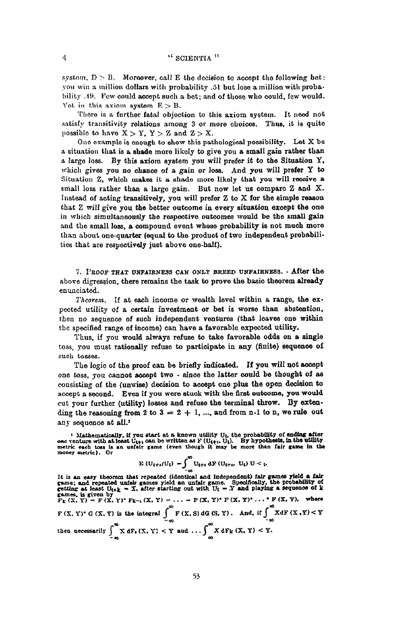4 " SCIENTIA<sup>"</sup>

systom,  $D > B$ . Moreover, call E the decision to accept the following bet: you win a million dollars with probability .51 but lose a million with probability .49. Fow could accept such a bet; and of those who could, few would. Yet in this axiom system  $E > B$ .

There is a further fatal objection to this axiom system. It need not satisfy transitivity relations among 3 or more choices. Thus, it is quite possible to have  $X > Y$ ,  $Y > Z$  and  $Z > X$ .

One example is enough to show this pathological possibility. Let  $X$  be a situation that is a shade more likely to give you a small gain rather than a large loss. By this axiom system you will prefer it to the Situation Y, which gives you no chance of a gain or loss. And you will prefer Y to Situation Z, which makes it a shade more likely that you will receive a small loss rather than a large gain. But now let us compare Z and X. Instead of acting transitively, you will prefer  $Z$  to  $X$  for the simple reason that 2 will give you the better outcome in every situation exoept the one in wbicb simultaneously tbe respective outoomea would be the small gain and the small loss, a compound event whose probability is not much moro than about one-quarter (equal to the produot of two independent probabilities that are respectively just above one-half).

7. PROOF THAT UNFAIRNESS CAN ONLY BREED UNFAIRNESS. - After the above digression, there remains the task to prove the basic theorem already enunciated.

Theorem. If at each income or wealth level within a range, the expected utility of a certain investment or bet is worse than abstention, theu no sequence of such independent ventures (that leavea one within the specified range of income) can have a favorable expected utility.

Thus. if you would always refuse to take favorable odds on a single toss., you must rationally refuse to participate in any (finite) sequenoe of such tosses.

The logic of the proof can be briefly indicated. If you will not accept one toss, you cannot aocept two - sinoe the latter oould be thought of a8 consisting of the (unwise) decision to accept one plus the open decision to accept a second. Even if you were stuck with the first outcome, you would cut your further (utility) losses and refuse the terminal throw. By extending the reasoning from 2 to  $3 = 2 + 1$ , ..., and from n-1 to n, we rule out any sequence at all.<sup>1</sup>

' Mathematically, if you start at a known utility U<sub>2</sub> the probability of ending after one venture with at least  $U_{t+1}$  can be written as  $F(U_{t+1}, U_t)$ . By hypothesis, in the utility metric each toss is an unfair game (e

$$
E\left(U_{t+s}/U_t\right) = \int_{-\infty}^{\infty} U_{t+s} dF\left(U_{t+s}, U_t\right) U \leq t.
$$

It is an easy theorem that repeated (identical and independent) fair games yield a fair It is an easy theorem can repeated unfair games yield an unfair game. Specifically, the probability of game; and repeated unfair games yield an unfair game. Specifically, the probability of games, is given by  $\mathbf{y} = \mathbf{$ 

$$
F(X, Y)' G(X, Y) \text{ is the integral } \int_{-\infty}^{\infty} F(X, S) dG(S, Y). \text{ And, if } \int_{-\infty}^{\infty} X dF(X, Y) < Y
$$
  
then necessarily  $\int_{-\infty}^{\infty} X dF_1(X, Y) < Y$  and ...  $\int_{-\infty}^{\infty} X dF_k(X, Y) < Y$ .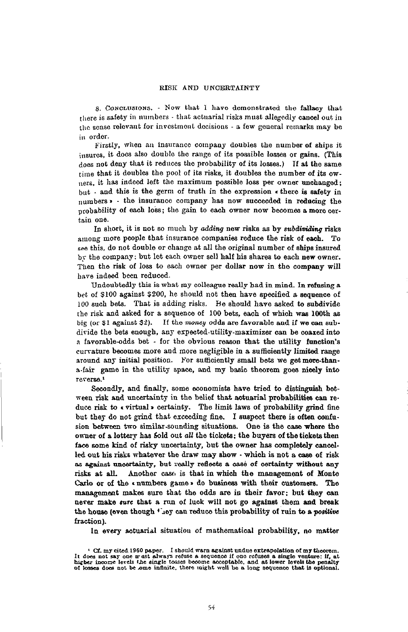## RISK AND UNCERTAINTY

8. CONCLUSIONS. - Now that 1 have demonstrated the fallacy that there is safety in numbers - that actuarial risks must allegedly cancel out in the sense relevant for investment decisions - a few general remarks may be in order.

Firstly, when an insurance company doubles the number of ships it insures, it does also double the range of its possible losses or gains. (This does not deny that it reduces the probability of its losses.) If at the same time that it doubles the pool of its risks, it doubles the number of its ow ners, it has indeed left the maximum possible loss per owner unchanged;  $_{\text{but}}$  and this is the germ of truth in the expression «there is safety in numbers  $\cdot$  - the insurance company has now succeeded in reducing the probability of each loss; the gain to each owner now becomes a more certain one.

In short, it is not so much by adding new risks as by subdividing risks among more people that insurance companies reduce the risk of each. To see this, do not double or change at all the original number of ships insured by the company: but let each owner sell half his shares to each new owner. Then the risk of loss to each owner per dollar now in the company will have indeed been reduced.

Undoubtedly this is what my colleague really had in mind. In refnaing a bet. of \$100 against \$200, he should not then have specified a eeqnence of 100 such bets. That is adding risks. He should have asked to subdivide the risk and asked for a sequence of 100 bets, eaoh of which was 100th as big (or  $$1$  against  $$2$ ). If the money odds are favorable and if we can subdivide the bets enough, any expected-utility-maximizer can be coaxed into a favorable-odds bet - for the obvious reason that the utility function's curvature becomes more and more negligible in a sufficiently limited range around any initial position. For sufficiently small bets we get more-thana-fair game in the utility space, and my basic theorem goes nicely into  $r$ e $r$ erse.<sup>1</sup>

Secondly, and finally, some economists have tried to distinguish between risk and uncertainty in the belief that actuarial probabilities can reduce risk to  $\epsilon$  virtual  $\epsilon$  certainty. The limit laws of probability grind fine but they do not grind that exceeding fine. I suspect there is often confusion between two similar-sounding situations. One is the case where the owner of a lottery has Sold out all the tickets; the buyers of the tickets then face some kind of risky uncertainty, but the owner has completely eaneelled out his risks whatever the draw may show - which is not a ease of risk as against uncertainty, but really reflects a case of certainty without any risks at all. Another case is that in which the management of Monte Carlo or of the  $\epsilon$  numbers game  $\epsilon$  do business with their customers. The management makes sure that the odds are in their favor: but they aan never make sure that a run of luck will not go against them and break the house (even though  $t_{\text{def}}$  can reduce this probability of ruin to a positive fraction).

ln every actuarial situatiou of mathematical probability, no matter

<sup>&#</sup>x27; Cf. my cited 1960 paper. I should warn against undue extrapolation of my theorem. It does not say one must always refuse a sequence if one refuses a single venture: if, at higher income levels the single tosses become ac of losses does not be ome infinite, there might well be a long sequence that is optional.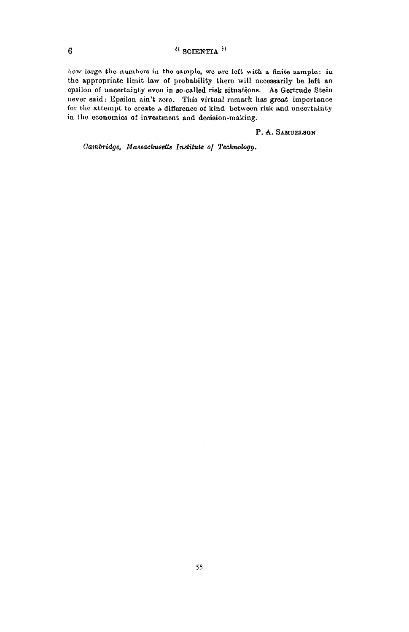how large the numhors in the eamplo, wo are left witb a finite sample: in the appropriate limit law of probability there will necessarily be left an epsilon of uncertainty even in so-called risk situations. As Gertrude Stein never said: Epsilon ain't zero. This virtual remark has great importance for the attempt to create a difference of kind between risk and uncertainty in the economics of investment and decision-making.

P. A. SAMUELSON

Cambridge, Massachusetts Institute of Technology.